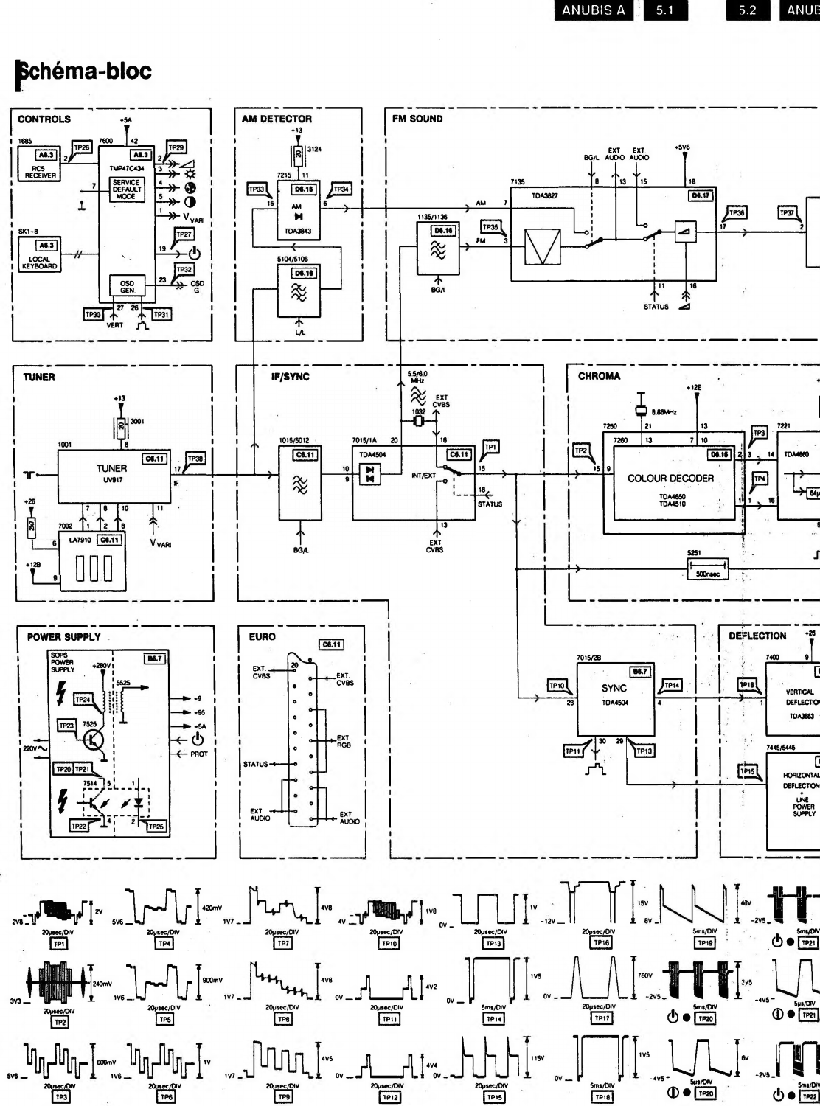ANUBIS A

5.1

## ANUE  $5.2$

## **Schéma-bloc**